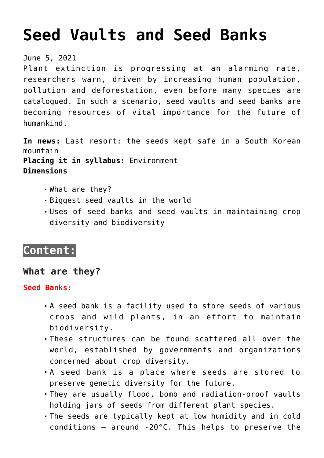# **[Seed Vaults and Seed Banks](https://journalsofindia.com/seed-vaults-and-seed-banks/)**

#### June 5, 2021

Plant extinction is progressing at an alarming rate, researchers warn, driven by increasing human population, pollution and deforestation, even before many species are catalogued. In such a scenario, seed vaults and seed banks are becoming resources of vital importance for the future of humankind.

**In news:** Last resort: the seeds kept safe in a South Korean mountain **Placing it in syllabus:** Environment **Dimensions**

- What are they?
- Biggest seed vaults in the world
- Uses of seed banks and seed vaults in maintaining crop diversity and biodiversity

# **Content:**

# **What are they?**

#### **Seed Banks:**

- A seed bank is a facility used to store seeds of various crops and wild plants, in an effort to maintain biodiversity.
- These structures can be found scattered all over the world, established by governments and organizations concerned about crop diversity.
- A seed bank is a place where seeds are stored to preserve genetic diversity for the future.
- They are usually flood, bomb and radiation-proof vaults holding jars of seeds from different plant species.
- The seeds are typically kept at low humidity and in cold conditions  $-$  around -20 $^{\circ}$ C. This helps to preserve the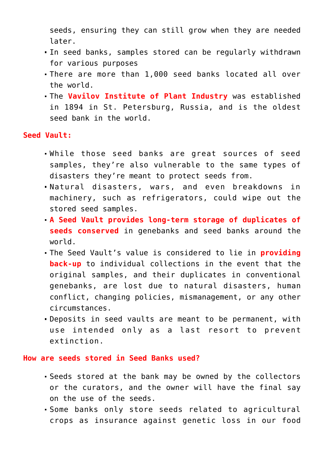seeds, ensuring they can still grow when they are needed later.

- In seed banks, samples stored can be regularly withdrawn for various purposes
- There are more than 1,000 seed banks located all over the world.
- The **Vavilov Institute of Plant Industry** was established in 1894 in St. Petersburg, Russia, and is the oldest seed bank in the world.

**Seed Vault:**

- While those seed banks are great sources of seed samples, they're also vulnerable to the same types of disasters they're meant to protect seeds from.
- Natural disasters, wars, and even breakdowns in machinery, such as refrigerators, could wipe out the stored seed samples.
- **A Seed Vault provides long-term storage of duplicates of seeds conserved** in genebanks and seed banks around the world.
- The Seed Vault's value is considered to lie in **providing back-up** to individual collections in the event that the original samples, and their duplicates in conventional genebanks, are lost due to natural disasters, human conflict, changing policies, mismanagement, or any other circumstances.
- Deposits in seed vaults are meant to be permanent, with use intended only as a last resort to prevent extinction.

#### **How are seeds stored in Seed Banks used?**

- Seeds stored at the bank may be owned by the collectors or the curators, and the owner will have the final say on the use of the seeds.
- Some banks only store seeds related to agricultural crops as insurance against genetic loss in our food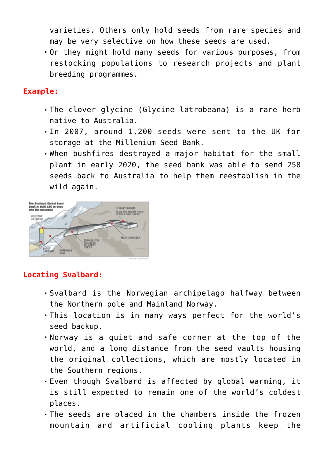varieties. Others only hold seeds from rare species and may be very selective on how these seeds are used.

Or they might hold many seeds for various purposes, from restocking populations to research projects and plant breeding programmes.

#### **Example:**

- The clover glycine (Glycine latrobeana) is a rare herb native to Australia.
- In 2007, around 1,200 seeds were sent to the UK for storage at the Millenium Seed Bank.
- When bushfires destroyed a major habitat for the small plant in early 2020, the seed bank was able to send 250 seeds back to Australia to help them reestablish in the wild again.



# **Locating Svalbard:**

- Svalbard is the Norwegian archipelago halfway between the Northern pole and Mainland Norway.
- This location is in many ways perfect for the world's seed backup.
- Norway is a quiet and safe corner at the top of the world, and a long distance from the seed vaults housing the original collections, which are mostly located in the Southern regions.
- Even though Svalbard is affected by global warming, it is still expected to remain one of the world's coldest places.
- The seeds are placed in the chambers inside the frozen mountain and artificial cooling plants keep the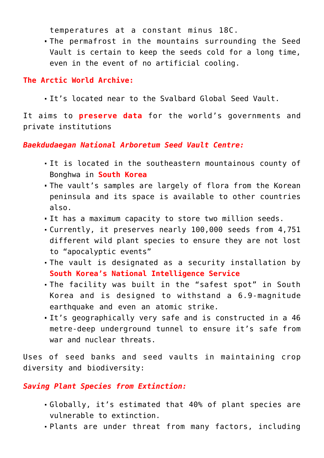temperatures at a constant minus 18C.

The permafrost in the mountains surrounding the Seed Vault is certain to keep the seeds cold for a long time, even in the event of no artificial cooling.

### **The Arctic World Archive:**

It's located near to the Svalbard Global Seed Vault.

It aims to **preserve data** for the world's governments and private institutions

#### *Baekdudaegan National Arboretum Seed Vault Centre:*

- It is located in the southeastern mountainous county of Bonghwa in **South Korea**
- The vault's samples are largely of flora from the Korean peninsula and its space is available to other countries also.
- It has a maximum capacity to store two million seeds.
- Currently, it preserves nearly 100,000 seeds from 4,751 different wild plant species to ensure they are not lost to "apocalyptic events"
- The vault is designated as a security installation by **South Korea's National Intelligence Service**
- The facility was built in the "safest spot" in South Korea and is designed to withstand a 6.9-magnitude earthquake and even an atomic strike.
- It's geographically very safe and is constructed in a 46 metre-deep underground tunnel to ensure it's safe from war and nuclear threats.

Uses of seed banks and seed vaults in maintaining crop diversity and biodiversity:

# *Saving Plant Species from Extinction:*

- Globally, it's estimated that 40% of plant species are vulnerable to extinction.
- Plants are under threat from many factors, including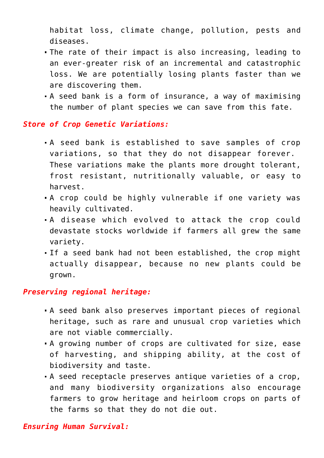habitat loss, climate change, pollution, pests and diseases.

- The rate of their impact is also increasing, leading to an ever-greater risk of an incremental and catastrophic loss. We are potentially losing plants faster than we are discovering them.
- A seed bank is a form of insurance, a way of maximising the number of plant species we can save from this fate.

#### *Store of Crop Genetic Variations:*

- A seed bank is established to save samples of crop variations, so that they do not disappear forever. These variations make the plants more drought tolerant, frost resistant, nutritionally valuable, or easy to harvest.
- A crop could be highly vulnerable if one variety was heavily cultivated.
- A disease which evolved to attack the crop could devastate stocks worldwide if farmers all grew the same variety.
- If a seed bank had not been established, the crop might actually disappear, because no new plants could be grown.

### *Preserving regional heritage:*

- A seed bank also preserves important pieces of regional heritage, such as rare and unusual crop varieties which are not viable commercially.
- A growing number of crops are cultivated for size, ease of harvesting, and shipping ability, at the cost of biodiversity and taste.
- A seed receptacle preserves antique varieties of a crop, and many biodiversity organizations also encourage farmers to grow heritage and heirloom crops on parts of the farms so that they do not die out.

#### *Ensuring Human Survival:*